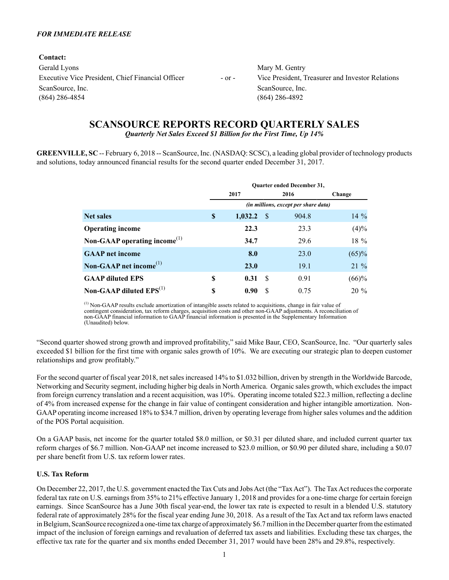#### *FOR IMMEDIATE RELEASE*

**Contact:** Gerald Lyons **Mary M. Gentry** Mary M. Gentry Executive Vice President, Chief Financial Officer - or - Vice President, Treasurer and Investor Relations ScanSource, Inc. ScanSource, Inc. ScanSource, Inc. (864) 286-4854 (864) 286-4892

# **SCANSOURCE REPORTS RECORD QUARTERLY SALES**

*Quarterly Net Sales Exceed \$1 Billion for the First Time, Up 14%*

**GREENVILLE, SC** -- February 6, 2018 -- ScanSource, Inc. (NASDAQ: SCSC), a leading global provider of technology products and solutions, today announced financial results for the second quarter ended December 31, 2017.

|                                          |    |                                      |      | <b>Ouarter ended December 31,</b> |        |  |  |  |  |  |  |
|------------------------------------------|----|--------------------------------------|------|-----------------------------------|--------|--|--|--|--|--|--|
|                                          |    | 2017                                 |      | 2016                              | Change |  |  |  |  |  |  |
|                                          |    | (in millions, except per share data) |      |                                   |        |  |  |  |  |  |  |
| <b>Net sales</b>                         | \$ | 1,032.2                              | - \$ | 904.8                             | $14\%$ |  |  |  |  |  |  |
| <b>Operating income</b>                  |    | 22.3                                 |      | 23.3                              | (4)%   |  |  |  |  |  |  |
| Non-GAAP operating income <sup>(1)</sup> |    | 34.7                                 |      | 29.6                              | 18 %   |  |  |  |  |  |  |
| <b>GAAP</b> net income                   |    | 8.0                                  |      | 23.0                              | (65)%  |  |  |  |  |  |  |
| Non-GAAP net income $^{(1)}$             |    | 23.0                                 |      | 19.1                              | $21\%$ |  |  |  |  |  |  |
| <b>GAAP</b> diluted EPS                  | S  | 0.31                                 | -S   | 0.91                              | (66)%  |  |  |  |  |  |  |
| Non-GAAP diluted $EPS^{(1)}$             | S  | 0.90                                 | S    | 0.75                              | 20 %   |  |  |  |  |  |  |

(1) Non-GAAP results exclude amortization of intangible assets related to acquisitions, change in fair value of contingent consideration, tax reform charges, acquisition costs and other non-GAAP adjustments. A reconciliation of non-GAAP financial information to GAAP financial information is presented in the Supplementary Information (Unaudited) below.

"Second quarter showed strong growth and improved profitability," said Mike Baur, CEO, ScanSource, Inc. "Our quarterly sales exceeded \$1 billion for the first time with organic sales growth of 10%. We are executing our strategic plan to deepen customer relationships and grow profitably."

For the second quarter of fiscal year 2018, net sales increased 14% to \$1.032 billion, driven by strength in the Worldwide Barcode, Networking and Security segment, including higher big deals in North America. Organic sales growth, which excludes the impact from foreign currency translation and a recent acquisition, was 10%. Operating income totaled \$22.3 million, reflecting a decline of 4% from increased expense for the change in fair value of contingent consideration and higher intangible amortization. Non-GAAPoperating income increased 18% to \$34.7 million, driven by operating leverage from higher sales volumes and the addition of the POS Portal acquisition.

On a GAAP basis, net income for the quarter totaled \$8.0 million, or \$0.31 per diluted share, and included current quarter tax reform charges of \$6.7 million. Non-GAAP net income increased to \$23.0 million, or \$0.90 per diluted share, including a \$0.07 per share benefit from U.S. tax reform lower rates.

### **U.S. Tax Reform**

On December 22, 2017, the U.S. government enacted the Tax Cuts and Jobs Act (the "Tax Act"). The Tax Act reduces the corporate federal tax rate on U.S. earnings from 35% to 21% effective January 1, 2018 and provides for a one-time charge for certain foreign earnings. Since ScanSource has a June 30th fiscal year-end, the lower tax rate is expected to result in a blended U.S. statutory federal rate of approximately 28% for the fiscal year ending June 30, 2018. As a result of the Tax Act and tax reform laws enacted in Belgium, ScanSource recognized a one-time tax charge of approximately \$6.7 million in the December quarter from the estimated impact of the inclusion of foreign earnings and revaluation of deferred tax assets and liabilities. Excluding these tax charges, the effective tax rate for the quarter and six months ended December 31, 2017 would have been 28% and 29.8%, respectively.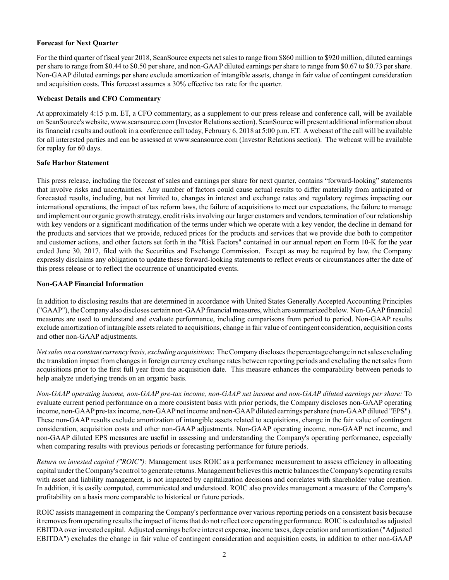#### **Forecast for Next Quarter**

For the third quarter of fiscal year 2018, ScanSource expects net sales to range from \$860 million to \$920 million, diluted earnings per share to range from \$0.44 to \$0.50 per share, and non-GAAPdiluted earnings per share to range from \$0.67 to \$0.73 per share. Non-GAAPdiluted earnings per share exclude amortization of intangible assets, change in fair value of contingent consideration and acquisition costs. This forecast assumes a 30% effective tax rate for the quarter.

#### **Webcast Details and CFO Commentary**

At approximately 4:15 p.m. ET, a CFO commentary, as a supplement to our press release and conference call, will be available on ScanSource's website, www.scansource.com (Investor Relations section). ScanSource will present additional information about its financial results and outlook in a conference call today, February 6, 2018 at 5:00 p.m. ET. Awebcast of the call will be available for all interested parties and can be assessed at www.scansource.com (Investor Relations section). The webcast will be available for replay for 60 days.

#### **Safe Harbor Statement**

This press release, including the forecast of sales and earnings per share for next quarter, contains "forward-looking" statements that involve risks and uncertainties. Any number of factors could cause actual results to differ materially from anticipated or forecasted results, including, but not limited to, changes in interest and exchange rates and regulatory regimes impacting our international operations, the impact of tax reform laws, the failure of acquisitions to meet our expectations, the failure to manage and implement our organic growth strategy, credit risks involving our larger customers and vendors, termination of our relationship with key vendors or a significant modification of the terms under which we operate with a key vendor, the decline in demand for the products and services that we provide, reduced prices for the products and services that we provide due both to competitor and customer actions, and other factors set forth in the "Risk Factors" contained in our annual report on Form 10-K for the year ended June 30, 2017, filed with the Securities and Exchange Commission. Except as may be required by law, the Company expressly disclaims any obligation to update these forward-looking statements to reflect events or circumstances after the date of this press release or to reflect the occurrence of unanticipated events.

### **Non-GAAP Financial Information**

In addition to disclosing results that are determined in accordance with United States Generally Accepted Accounting Principles ("GAAP"), the Company also discloses certain non-GAAPfinancial measures, which are summarized below. Non-GAAPfinancial measures are used to understand and evaluate performance, including comparisons from period to period. Non-GAAP results exclude amortization of intangible assets related to acquisitions, change in fair value of contingent consideration, acquisition costs and other non-GAAP adjustments.

*Net sales on a constant currency basis, excluding acquisitions*: The Company discloses the percentage change in net sales excluding the translation impact from changes in foreign currency exchange rates between reporting periods and excluding the net sales from acquisitions prior to the first full year from the acquisition date. This measure enhances the comparability between periods to help analyze underlying trends on an organic basis.

*Non-GAAP operating income, non-GAAP pre-tax income, non-GAAP net income and non-GAAP diluted earnings per share:* To evaluate current period performance on a more consistent basis with prior periods, the Company discloses non-GAAP operating income, non-GAAP pre-tax income, non-GAAP net income and non-GAAP diluted earnings per share (non-GAAP diluted "EPS"). These non-GAAP results exclude amortization of intangible assets related to acquisitions, change in the fair value of contingent consideration, acquisition costs and other non-GAAP adjustments. Non-GAAP operating income, non-GAAP net income, and non-GAAP diluted EPS measures are useful in assessing and understanding the Company's operating performance, especially when comparing results with previous periods or forecasting performance for future periods.

*Return on invested capital ("ROIC"):* Management uses ROIC as a performance measurement to assess efficiency in allocating capital under the Company's control to generate returns. Management believes this metric balances the Company's operating results with asset and liability management, is not impacted by capitalization decisions and correlates with shareholder value creation. In addition, it is easily computed, communicated and understood. ROIC also provides management a measure of the Company's profitability on a basis more comparable to historical or future periods.

ROIC assists management in comparing the Company's performance over various reporting periods on a consistent basis because it removes from operating results the impact of items that do not reflect core operating performance. ROIC is calculated as adjusted EBITDAover invested capital. Adjusted earnings before interest expense, income taxes, depreciation and amortization ("Adjusted EBITDA") excludes the change in fair value of contingent consideration and acquisition costs, in addition to other non-GAAP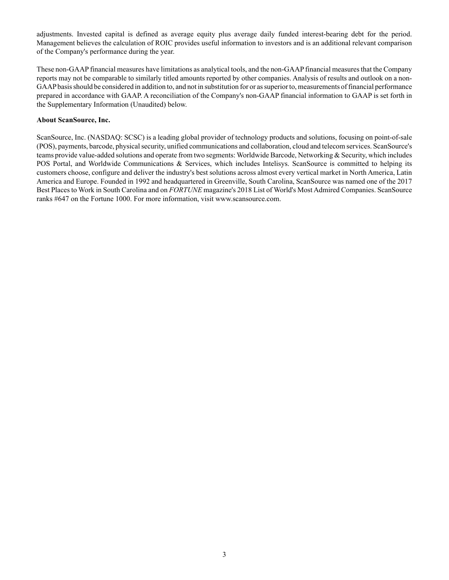adjustments. Invested capital is defined as average equity plus average daily funded interest-bearing debt for the period. Management believes the calculation of ROIC provides useful information to investors and is an additional relevant comparison of the Company's performance during the year.

These non-GAAPfinancial measures have limitations as analytical tools, and the non-GAAPfinancial measures that the Company reports may not be comparable to similarly titled amounts reported by other companies. Analysis of results and outlook on a non-GAAPbasis should be considered in addition to, and not in substitution for or as superior to, measurements of financial performance prepared in accordance with GAAP. A reconciliation of the Company's non-GAAP financial information to GAAP is set forth in the Supplementary Information (Unaudited) below.

#### **About ScanSource, Inc.**

ScanSource, Inc. (NASDAQ: SCSC) is a leading global provider of technology products and solutions, focusing on point-of-sale (POS), payments, barcode, physical security, unified communications and collaboration, cloud and telecom services. ScanSource's teams provide value-added solutions and operate from two segments: Worldwide Barcode, Networking & Security, which includes POS Portal, and Worldwide Communications & Services, which includes Intelisys. ScanSource is committed to helping its customers choose, configure and deliver the industry's best solutions across almost every vertical market in North America, Latin America and Europe. Founded in 1992 and headquartered in Greenville, South Carolina, ScanSource was named one of the 2017 Best Places to Work in South Carolina and on *FORTUNE* magazine's 2018 List of World's Most Admired Companies. ScanSource ranks #647 on the Fortune 1000. For more information, visit www.scansource.com.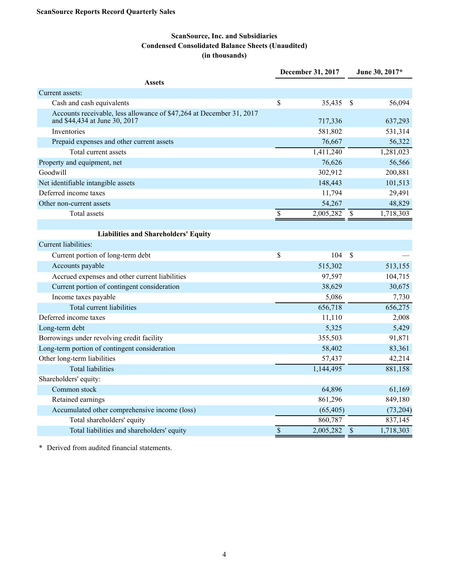### **ScanSource, Inc. and Subsidiaries Condensed Consolidated Balance Sheets (Unaudited) (in thousands)**

|                                                                                                       |                 | December 31, 2017 |                          | June 30, 2017* |
|-------------------------------------------------------------------------------------------------------|-----------------|-------------------|--------------------------|----------------|
| <b>Assets</b>                                                                                         |                 |                   |                          |                |
| Current assets:                                                                                       |                 |                   |                          |                |
| Cash and cash equivalents                                                                             | \$              | 35,435            | $\mathcal{S}$            | 56,094         |
| Accounts receivable, less allowance of \$47,264 at December 31, 2017<br>and \$44,434 at June 30, 2017 |                 | 717,336           |                          | 637,293        |
| Inventories                                                                                           |                 | 581,802           |                          | 531,314        |
| Prepaid expenses and other current assets                                                             |                 | 76,667            |                          | 56,322         |
| Total current assets                                                                                  |                 | 1,411,240         |                          | 1,281,023      |
| Property and equipment, net                                                                           |                 | 76,626            |                          | 56,566         |
| Goodwill                                                                                              |                 | 302,912           |                          | 200,881        |
| Net identifiable intangible assets                                                                    |                 | 148,443           |                          | 101,513        |
| Deferred income taxes                                                                                 |                 | 11,794            |                          | 29,491         |
| Other non-current assets                                                                              |                 | 54,267            |                          | 48,829         |
| <b>Total</b> assets                                                                                   | $\overline{\$}$ | 2,005,282         | $\overline{\mathcal{S}}$ | 1,718,303      |
|                                                                                                       |                 |                   |                          |                |
| <b>Liabilities and Shareholders' Equity</b>                                                           |                 |                   |                          |                |
| Current liabilities:                                                                                  |                 |                   |                          |                |
| Current portion of long-term debt                                                                     | \$              | 104               | $\mathcal{S}$            |                |
| Accounts payable                                                                                      |                 | 515,302           |                          | 513,155        |
| Accrued expenses and other current liabilities                                                        |                 | 97,597            |                          | 104,715        |
| Current portion of contingent consideration                                                           |                 | 38,629            |                          | 30,675         |
| Income taxes payable                                                                                  |                 | 5,086             |                          | 7,730          |
| <b>Total current liabilities</b>                                                                      |                 | 656,718           |                          | 656,275        |
| Deferred income taxes                                                                                 |                 | 11,110            |                          | 2,008          |
| Long-term debt                                                                                        |                 | 5,325             |                          | 5,429          |
| Borrowings under revolving credit facility                                                            |                 | 355,503           |                          | 91,871         |
| Long-term portion of contingent consideration                                                         |                 | 58,402            |                          | 83,361         |
| Other long-term liabilities                                                                           |                 | 57,437            |                          | 42,214         |
| <b>Total liabilities</b>                                                                              |                 | 1,144,495         |                          | 881,158        |
| Shareholders' equity:                                                                                 |                 |                   |                          |                |
| Common stock                                                                                          |                 | 64,896            |                          | 61,169         |
| Retained earnings                                                                                     |                 | 861,296           |                          | 849,180        |
| Accumulated other comprehensive income (loss)                                                         |                 | (65, 405)         |                          | (73,204)       |
| Total shareholders' equity                                                                            |                 | 860,787           |                          | 837,145        |
| Total liabilities and shareholders' equity                                                            | $\mathbb{S}$    | 2,005,282         | $\overline{\mathcal{S}}$ | 1,718,303      |

\* Derived from audited financial statements.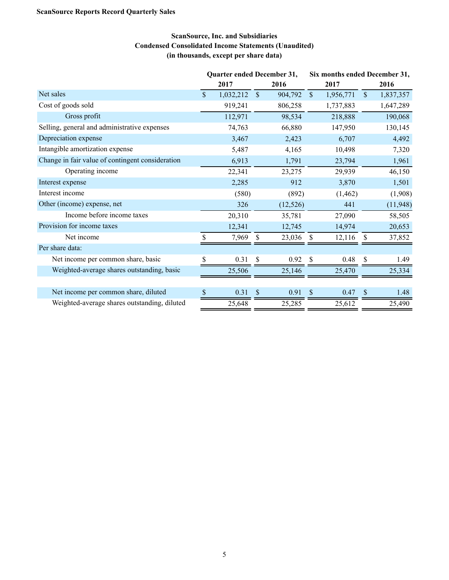### **ScanSource, Inc. and Subsidiaries Condensed Consolidated Income Statements (Unaudited) (in thousands, except per share data)**

|                                                  | Quarter ended December 31, |           |               |           | Six months ended December 31, |           |               |           |  |  |  |
|--------------------------------------------------|----------------------------|-----------|---------------|-----------|-------------------------------|-----------|---------------|-----------|--|--|--|
|                                                  |                            | 2017      | 2016          |           |                               | 2017      |               | 2016      |  |  |  |
| Net sales                                        | $\mathbf{\$}$              | 1,032,212 | $\mathbb{S}$  | 904,792   | $\mathbb{S}$                  | 1,956,771 | $\mathbb{S}$  | 1,837,357 |  |  |  |
| Cost of goods sold                               |                            | 919,241   |               | 806,258   |                               | 1,737,883 |               | 1,647,289 |  |  |  |
| Gross profit                                     |                            | 112,971   |               | 98,534    |                               | 218,888   |               | 190,068   |  |  |  |
| Selling, general and administrative expenses     |                            | 74,763    |               | 66,880    |                               | 147,950   |               | 130,145   |  |  |  |
| Depreciation expense                             |                            | 3,467     |               | 2,423     |                               | 6,707     |               | 4,492     |  |  |  |
| Intangible amortization expense                  |                            | 5,487     |               | 4,165     |                               | 10,498    |               | 7,320     |  |  |  |
| Change in fair value of contingent consideration |                            | 6,913     |               | 1,791     |                               | 23,794    |               | 1,961     |  |  |  |
| Operating income                                 |                            | 22,341    |               | 23,275    |                               | 29,939    |               | 46,150    |  |  |  |
| Interest expense                                 |                            | 2,285     |               | 912       |                               | 3,870     |               | 1,501     |  |  |  |
| Interest income                                  |                            | (580)     |               | (892)     |                               | (1, 462)  |               | (1,908)   |  |  |  |
| Other (income) expense, net                      |                            | 326       |               | (12, 526) |                               | 441       |               | (11, 948) |  |  |  |
| Income before income taxes                       |                            | 20,310    |               | 35,781    |                               | 27,090    |               | 58,505    |  |  |  |
| Provision for income taxes                       |                            | 12,341    |               | 12,745    |                               | 14,974    |               | 20,653    |  |  |  |
| Net income                                       | \$                         | 7,969     | <sup>\$</sup> | 23,036    | -S                            | 12,116    | S             | 37,852    |  |  |  |
| Per share data:                                  |                            |           |               |           |                               |           |               |           |  |  |  |
| Net income per common share, basic               |                            | 0.31      | \$            | 0.92      | $\mathcal{S}$                 | 0.48      | \$            | 1.49      |  |  |  |
| Weighted-average shares outstanding, basic       |                            | 25,506    |               | 25,146    |                               | 25,470    |               | 25,334    |  |  |  |
|                                                  |                            |           |               |           |                               |           |               |           |  |  |  |
| Net income per common share, diluted             | S                          | 0.31      | S             | 0.91      | \$                            | 0.47      | <sup>\$</sup> | 1.48      |  |  |  |
| Weighted-average shares outstanding, diluted     |                            | 25,648    |               | 25,285    |                               | 25,612    |               | 25,490    |  |  |  |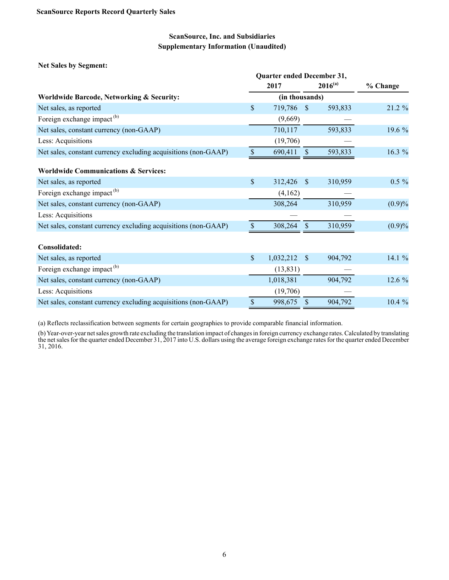**Net Sales by Segment:**

|                                                                |               | Quarter ended December 31, |                           |              |          |
|----------------------------------------------------------------|---------------|----------------------------|---------------------------|--------------|----------|
| Worldwide Barcode, Networking & Security:                      |               | 2017                       |                           | $2016^{(a)}$ | % Change |
|                                                                |               | (in thousands)             |                           |              |          |
| Net sales, as reported                                         | $\mathbb{S}$  | 719,786                    | $\mathbb{S}$              | 593,833      | 21.2 %   |
| Foreign exchange impact <sup>(b)</sup>                         |               | (9,669)                    |                           |              |          |
| Net sales, constant currency (non-GAAP)                        |               | 710,117                    |                           | 593,833      | 19.6 %   |
| Less: Acquisitions                                             |               | (19,706)                   |                           |              |          |
| Net sales, constant currency excluding acquisitions (non-GAAP) |               | 690,411                    | $\mathcal{S}$             | 593,833      | 16.3 %   |
| <b>Worldwide Communications &amp; Services:</b>                |               |                            |                           |              |          |
| Net sales, as reported                                         | $\mathsf{\$}$ | 312,426                    | $\mathcal{S}$             | 310,959      | $0.5 \%$ |
| Foreign exchange impact <sup>(b)</sup>                         |               | (4,162)                    |                           |              |          |
| Net sales, constant currency (non-GAAP)                        |               | 308,264                    |                           | 310,959      | (0.9)%   |
| Less: Acquisitions                                             |               |                            |                           |              |          |
| Net sales, constant currency excluding acquisitions (non-GAAP) |               | 308,264                    | \$                        | 310,959      | (0.9)%   |
| Consolidated:                                                  |               |                            |                           |              |          |
| Net sales, as reported                                         | \$            | 1,032,212                  | \$                        | 904,792      | 14.1 %   |
| Foreign exchange impact <sup>(b)</sup>                         |               | (13, 831)                  |                           |              |          |
| Net sales, constant currency (non-GAAP)                        |               | 1,018,381                  |                           | 904,792      | 12.6 %   |
| Less: Acquisitions                                             |               | (19,706)                   |                           |              |          |
| Net sales, constant currency excluding acquisitions (non-GAAP) | \$            | 998,675                    | $\boldsymbol{\mathsf{S}}$ | 904,792      | 10.4 %   |

(a) Reflects reclassification between segments for certain geographies to provide comparable financial information.

(b) Year-over-year net sales growth rate excluding the translation impact of changes in foreign currency exchange rates. Calculated by translating the net sales for the quarter ended December 31, 2017 into U.S. dollars using the average foreign exchange rates for the quarter ended December 31, 2016.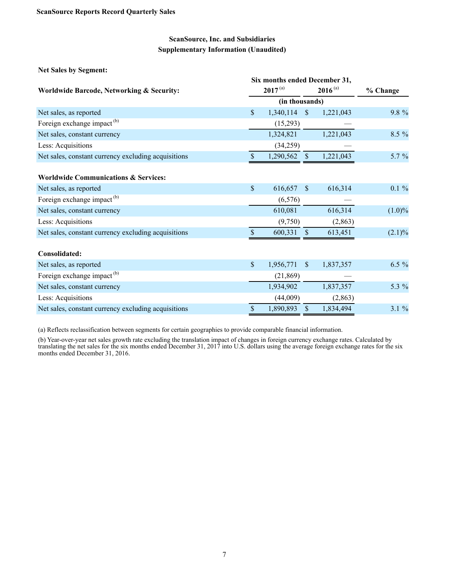| <b>Net Sales by Segment:</b>                        |              |                               |               |              |           |
|-----------------------------------------------------|--------------|-------------------------------|---------------|--------------|-----------|
|                                                     |              | Six months ended December 31, |               |              |           |
| Worldwide Barcode, Networking & Security:           |              | $2017^{(a)}$                  |               | $2016^{(a)}$ | % Change  |
|                                                     |              | (in thousands)                |               |              |           |
| Net sales, as reported                              | \$           | $1,340,114$ \$                |               | 1,221,043    | 9.8 %     |
| Foreign exchange impact <sup>(b)</sup>              |              | (15,293)                      |               |              |           |
| Net sales, constant currency                        |              | 1,324,821                     |               | 1,221,043    | 8.5 %     |
| Less: Acquisitions                                  |              | (34,259)                      |               |              |           |
| Net sales, constant currency excluding acquisitions | \$           | 1,290,562                     | $\mathsf{\$}$ | 1,221,043    | 5.7 %     |
| <b>Worldwide Communications &amp; Services:</b>     |              |                               |               |              |           |
| Net sales, as reported                              | \$           | 616,657                       | $\mathcal{S}$ | 616,314      | $0.1 \%$  |
| Foreign exchange impact <sup>(b)</sup>              |              | (6, 576)                      |               |              |           |
| Net sales, constant currency                        |              | 610,081                       |               | 616,314      | $(1.0)\%$ |
| Less: Acquisitions                                  |              | (9,750)                       |               | (2,863)      |           |
| Net sales, constant currency excluding acquisitions |              | 600,331                       | \$            | 613,451      | $(2.1)\%$ |
| Consolidated:                                       |              |                               |               |              |           |
| Net sales, as reported                              | $\mathbb{S}$ | 1,956,771                     | $\mathcal{S}$ | 1,837,357    | 6.5 $%$   |
| Foreign exchange impact <sup>(b)</sup>              |              | (21, 869)                     |               |              |           |
| Net sales, constant currency                        |              | 1,934,902                     |               | 1,837,357    | 5.3 %     |
| Less: Acquisitions                                  |              | (44,009)                      |               | (2,863)      |           |
| Net sales, constant currency excluding acquisitions | \$           | 1,890,893                     | \$            | 1,834,494    | 3.1 %     |

(a) Reflects reclassification between segments for certain geographies to provide comparable financial information.

(b) Year-over-year net sales growth rate excluding the translation impact of changes in foreign currency exchange rates. Calculated by translating the net sales for the six months ended December 31, 2017 into U.S. dollars using the average foreign exchange rates for the six months ended December 31, 2016.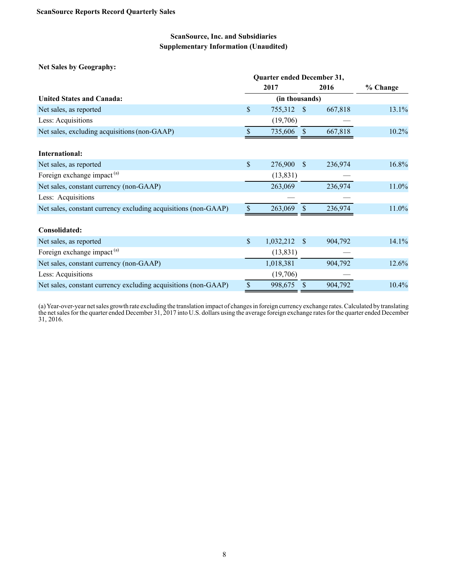**Net Sales by Geography:**

|                                                                |    | Quarter ended December 31, |               |         |          |
|----------------------------------------------------------------|----|----------------------------|---------------|---------|----------|
| <b>United States and Canada:</b>                               |    | 2017                       |               | 2016    | % Change |
|                                                                |    | (in thousands)             |               |         |          |
| Net sales, as reported                                         | \$ | 755,312                    | -S            | 667,818 | 13.1%    |
| Less: Acquisitions                                             |    | (19,706)                   |               |         |          |
| Net sales, excluding acquisitions (non-GAAP)                   | \$ | 735,606                    | $\mathcal{S}$ | 667,818 | 10.2%    |
| International:                                                 |    |                            |               |         |          |
| Net sales, as reported                                         | \$ | 276,900                    | <sup>S</sup>  | 236,974 | 16.8%    |
| Foreign exchange impact <sup>(a)</sup>                         |    | (13, 831)                  |               |         |          |
| Net sales, constant currency (non-GAAP)                        |    | 263,069                    |               | 236,974 | 11.0%    |
| Less: Acquisitions                                             |    |                            |               |         |          |
| Net sales, constant currency excluding acquisitions (non-GAAP) | S  | 263,069                    | <sup>\$</sup> | 236,974 | 11.0%    |
| Consolidated:                                                  |    |                            |               |         |          |
| Net sales, as reported                                         | \$ | 1,032,212                  | <sup>S</sup>  | 904,792 | 14.1%    |
| Foreign exchange impact <sup>(a)</sup>                         |    | (13, 831)                  |               |         |          |
| Net sales, constant currency (non-GAAP)                        |    | 1,018,381                  |               | 904,792 | 12.6%    |
| Less: Acquisitions                                             |    | (19,706)                   |               |         |          |
| Net sales, constant currency excluding acquisitions (non-GAAP) | \$ | 998,675                    | $\mathbb{S}$  | 904,792 | 10.4%    |

(a) Year-over-year net sales growth rate excluding the translation impact of changes in foreign currency exchange rates. Calculated by translating the net sales for the quarter ended December 31, 2017 into U.S. dollars using the average foreign exchange rates for the quarter ended December 31, 2016.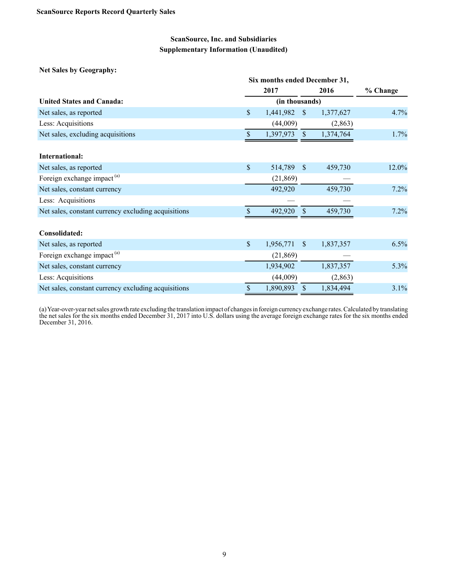**Net Sales by Geography:**

|                                                     | Six months ended December 31, |                |               |           |          |
|-----------------------------------------------------|-------------------------------|----------------|---------------|-----------|----------|
|                                                     | 2017                          |                |               | 2016      | % Change |
| <b>United States and Canada:</b>                    |                               | (in thousands) |               |           |          |
| Net sales, as reported                              | \$                            | 1,441,982      | - \$          | 1,377,627 | 4.7%     |
| Less: Acquisitions                                  |                               | (44,009)       |               | (2,863)   |          |
| Net sales, excluding acquisitions                   | $\boldsymbol{\mathsf{S}}$     | 1,397,973      | $\mathcal{S}$ | 1,374,764 | 1.7%     |
| International:                                      |                               |                |               |           |          |
| Net sales, as reported                              | $\mathbf{\$}$                 | 514,789        | <sup>S</sup>  | 459,730   | 12.0%    |
| Foreign exchange impact <sup>(a)</sup>              |                               | (21, 869)      |               |           |          |
| Net sales, constant currency                        |                               | 492,920        |               | 459,730   | 7.2%     |
| Less: Acquisitions                                  |                               |                |               |           |          |
| Net sales, constant currency excluding acquisitions | \$                            | 492,920        | <sup>\$</sup> | 459,730   | 7.2%     |
| Consolidated:                                       |                               |                |               |           |          |
| Net sales, as reported                              | \$                            | 1,956,771      | <sup>S</sup>  | 1,837,357 | 6.5%     |
| Foreign exchange impact <sup>(a)</sup>              |                               | (21, 869)      |               |           |          |
| Net sales, constant currency                        |                               | 1,934,902      |               | 1,837,357 | 5.3%     |
| Less: Acquisitions                                  |                               | (44,009)       |               | (2,863)   |          |
| Net sales, constant currency excluding acquisitions | \$                            | 1,890,893      | <sup>\$</sup> | 1,834,494 | 3.1%     |

(a) Year-over-year net sales growth rate excluding the translation impact of changes in foreign currency exchange rates. Calculated by translating the net sales for the six months ended December 31, 2017 into U.S. dollars using the average foreign exchange rates for the six months ended December 31, 2016.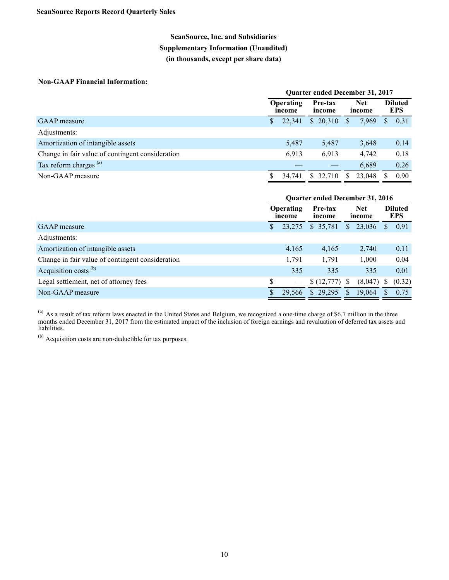## **ScanSource, Inc. and Subsidiaries Supplementary Information (Unaudited) (in thousands, except per share data)**

### **Non-GAAP Financial Information:**

|                                                  | <b>Quarter ended December 31, 2017</b> |        |           |              |        |   |      |  |                   |                      |  |  |                              |
|--------------------------------------------------|----------------------------------------|--------|-----------|--------------|--------|---|------|--|-------------------|----------------------|--|--|------------------------------|
|                                                  | <b>Operating</b><br>income             |        |           |              |        |   |      |  | Pre-tax<br>income | <b>Net</b><br>income |  |  | <b>Diluted</b><br><b>EPS</b> |
| <b>GAAP</b> measure                              |                                        | 22.341 | \$20,310  | <sup>S</sup> | 7.969  | S | 0.31 |  |                   |                      |  |  |                              |
| Adjustments:                                     |                                        |        |           |              |        |   |      |  |                   |                      |  |  |                              |
| Amortization of intangible assets                |                                        | 5,487  | 5,487     |              | 3.648  |   | 0.14 |  |                   |                      |  |  |                              |
| Change in fair value of contingent consideration |                                        | 6,913  | 6,913     |              | 4,742  |   | 0.18 |  |                   |                      |  |  |                              |
| Tax reform charges <sup>(a)</sup>                |                                        |        |           |              | 6,689  |   | 0.26 |  |                   |                      |  |  |                              |
| Non-GAAP measure                                 |                                        | 34.741 | \$ 32.710 |              | 23,048 |   | 0.90 |  |                   |                      |  |  |                              |

|                                                  | Quarter ended December 31, 2016 |                   |                   |                      |         |               |                              |  |  |  |
|--------------------------------------------------|---------------------------------|-------------------|-------------------|----------------------|---------|---------------|------------------------------|--|--|--|
|                                                  | <b>Operating</b><br>income      |                   | Pre-tax<br>income | <b>Net</b><br>income |         |               | <b>Diluted</b><br><b>EPS</b> |  |  |  |
| <b>GAAP</b> measure                              |                                 | 23,275            | \$35,781          | S.                   | 23,036  | <sup>\$</sup> | 0.91                         |  |  |  |
| Adjustments:                                     |                                 |                   |                   |                      |         |               |                              |  |  |  |
| Amortization of intangible assets                |                                 | 4,165             | 4,165             |                      | 2,740   |               | 0.11                         |  |  |  |
| Change in fair value of contingent consideration |                                 | 1,791             | 1.791             |                      | 1,000   |               | 0.04                         |  |  |  |
| Acquisition costs <sup>(b)</sup>                 |                                 | 335               | 335               |                      | 335     |               | 0.01                         |  |  |  |
| Legal settlement, net of attorney fees           | \$                              | $\hspace{0.05cm}$ | \$(12,777)        | S                    | (8,047) | S             | (0.32)                       |  |  |  |
| Non-GAAP measure                                 |                                 | 29.566            | \$29.295          | S.                   | 19,064  |               | 0.75                         |  |  |  |
|                                                  |                                 |                   |                   |                      |         |               |                              |  |  |  |

 $^{(a)}$  As a result of tax reform laws enacted in the United States and Belgium, we recognized a one-time charge of \$6.7 million in the three months ended December 31, 2017 from the estimated impact of the inclusion of foreign earnings and revaluation of deferred tax assets and liabilities.

(b) Acquisition costs are non-deductible for tax purposes.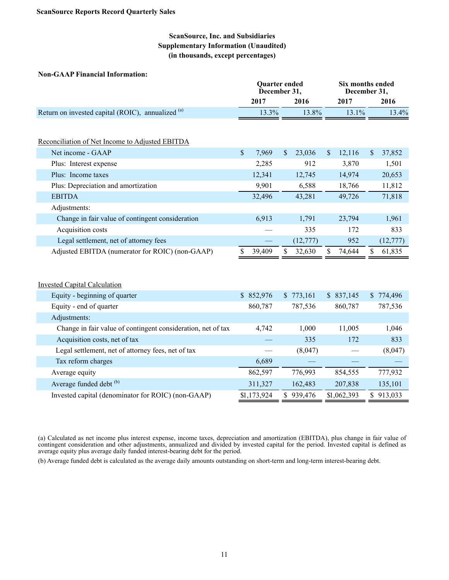### **ScanSource, Inc. and Subsidiaries Supplementary Information (Unaudited) (in thousands, except percentages)**

#### **Non-GAAP Financial Information:**

|                                                              | Quarter ended<br>December 31, |             |    |           |               |             | Six months ended<br>December 31, |           |  |  |
|--------------------------------------------------------------|-------------------------------|-------------|----|-----------|---------------|-------------|----------------------------------|-----------|--|--|
|                                                              | 2017                          |             |    | 2016      |               | 2017        |                                  | 2016      |  |  |
| Return on invested capital (ROIC), annualized (a)            |                               | 13.3%       |    | 13.8%     |               | 13.1%       |                                  | 13.4%     |  |  |
|                                                              |                               |             |    |           |               |             |                                  |           |  |  |
| Reconciliation of Net Income to Adjusted EBITDA              |                               |             |    |           |               |             |                                  |           |  |  |
| Net income - GAAP                                            | $\mathsf{\$}$                 | 7,969       | \$ | 23,036    | $\mathcal{S}$ | 12,116      | S                                | 37,852    |  |  |
| Plus: Interest expense                                       |                               | 2,285       |    | 912       |               | 3,870       |                                  | 1,501     |  |  |
| Plus: Income taxes                                           |                               | 12,341      |    | 12,745    |               | 14,974      |                                  | 20,653    |  |  |
| Plus: Depreciation and amortization                          |                               | 9,901       |    | 6,588     |               | 18,766      |                                  | 11,812    |  |  |
| <b>EBITDA</b>                                                |                               | 32,496      |    | 43,281    |               | 49,726      |                                  | 71,818    |  |  |
| Adjustments:                                                 |                               |             |    |           |               |             |                                  |           |  |  |
| Change in fair value of contingent consideration             |                               | 6,913       |    | 1,791     |               | 23,794      |                                  | 1,961     |  |  |
| Acquisition costs                                            |                               |             |    | 335       |               | 172         |                                  | 833       |  |  |
| Legal settlement, net of attorney fees                       |                               |             |    | (12, 777) |               | 952         |                                  | (12, 777) |  |  |
| Adjusted EBITDA (numerator for ROIC) (non-GAAP)              | \$                            | 39,409      | \$ | 32,630    | \$            | 74,644      | \$                               | 61,835    |  |  |
|                                                              |                               |             |    |           |               |             |                                  |           |  |  |
|                                                              |                               |             |    |           |               |             |                                  |           |  |  |
| <b>Invested Capital Calculation</b>                          |                               |             |    |           |               |             |                                  |           |  |  |
| Equity - beginning of quarter                                |                               | \$852,976   |    | \$773,161 |               | \$837,145   |                                  | \$774,496 |  |  |
| Equity - end of quarter                                      |                               | 860,787     |    | 787,536   |               | 860,787     |                                  | 787,536   |  |  |
| Adjustments:                                                 |                               |             |    |           |               |             |                                  |           |  |  |
| Change in fair value of contingent consideration, net of tax |                               | 4,742       |    | 1,000     |               | 11,005      |                                  | 1,046     |  |  |
| Acquisition costs, net of tax                                |                               |             |    | 335       |               | 172         |                                  | 833       |  |  |
| Legal settlement, net of attorney fees, net of tax           |                               |             |    | (8,047)   |               |             |                                  | (8,047)   |  |  |
| Tax reform charges                                           |                               | 6,689       |    |           |               |             |                                  |           |  |  |
| Average equity                                               |                               | 862,597     |    | 776,993   |               | 854,555     |                                  | 777,932   |  |  |
| Average funded debt <sup>(b)</sup>                           |                               | 311,327     |    | 162,483   |               | 207,838     |                                  | 135,101   |  |  |
| Invested capital (denominator for ROIC) (non-GAAP)           |                               | \$1,173,924 |    | \$939,476 |               | \$1,062,393 |                                  | \$913,033 |  |  |

(a) Calculated as net income plus interest expense, income taxes, depreciation and amortization (EBITDA), plus change in fair value of contingent consideration and other adjustments, annualized and divided by invested capital for the period. Invested capital is defined as average equity plus average daily funded interest-bearing debt for the period.

(b) Average funded debt is calculated as the average daily amounts outstanding on short-term and long-term interest-bearing debt.